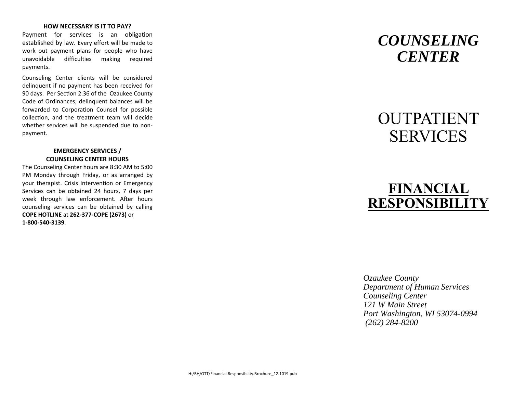#### **HOW NECESSARY IS IT TO PAY?**

Payment for services is an obligation established by law. Every effort will be made to work out payment plans for people who have unavoidable difficulties making required payments.

Counseling Center clients will be considered delinquent if no payment has been received for 90 days. Per Section 2.36 of the Ozaukee County Code of Ordinances, delinquent balances will be forwarded to Corporation Counsel for possible collection, and the treatment team will decide whether services will be suspended due to nonpayment.

### **EMERGENCY SERVICES / COUNSELING CENTER HOURS**

The Counseling Center hours are 8:30 AM to 5:00 PM Monday through Friday, or as arranged by your therapist. Crisis Intervention or Emergency Services can be obtained 24 hours, 7 days per week through law enforcement. After hours counseling services can be obtained by calling **COPE HOTLINE** at **262‐377‐COPE (2673)** or **1‐800‐540‐3139**.

# *COUNSELING CENTER*

# **OUTPATIENT** SERVICES

# **FINANCIAL RESPONSIBILITY**

*Ozaukee County Department of Human Services Counseling Center 121 W Main Street Port Washington, WI 53074-0994 (262) 284-8200*